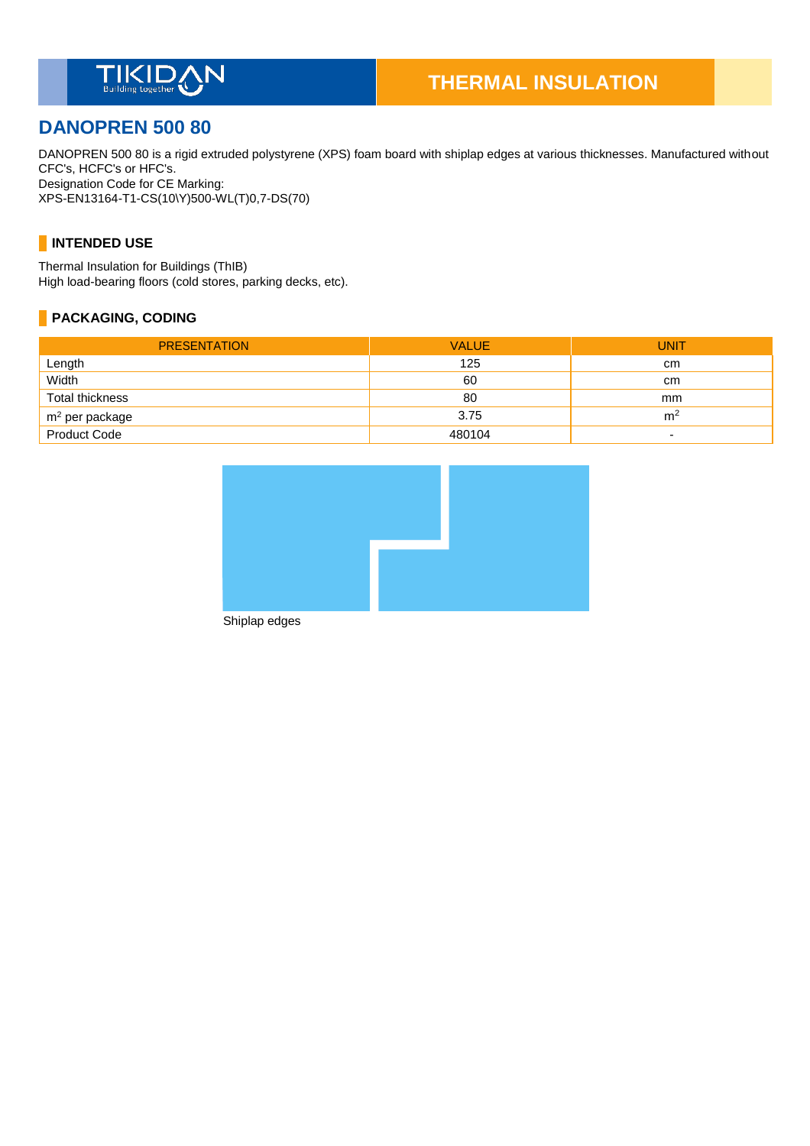

# **DANOPREN 500 80**

DANOPREN 500 80 is a rigid extruded polystyrene (XPS) foam board with shiplap edges at various thicknesses. Manufactured without CFC's, HCFC's or HFC's. Designation Code for CE Marking: XPS-EN13164-T1-CS(10\Y)500-WL(T)0,7-DS(70)

### **INTENDED USE**

Thermal Insulation for Buildings (ThIB) High load-bearing floors (cold stores, parking decks, etc).

### **PACKAGING, CODING**

| <b>PRESENTATION</b>    | <b>VALUE</b> | <b>UNIT</b>              |
|------------------------|--------------|--------------------------|
| Length                 | 125          | <sub>cm</sub>            |
| Width                  | 60           | <sub>cm</sub>            |
| <b>Total thickness</b> | 80           | mm                       |
| $m2$ per package       | 3.75         | m <sup>2</sup>           |
| <b>Product Code</b>    | 480104       | $\overline{\phantom{a}}$ |



Shiplap edges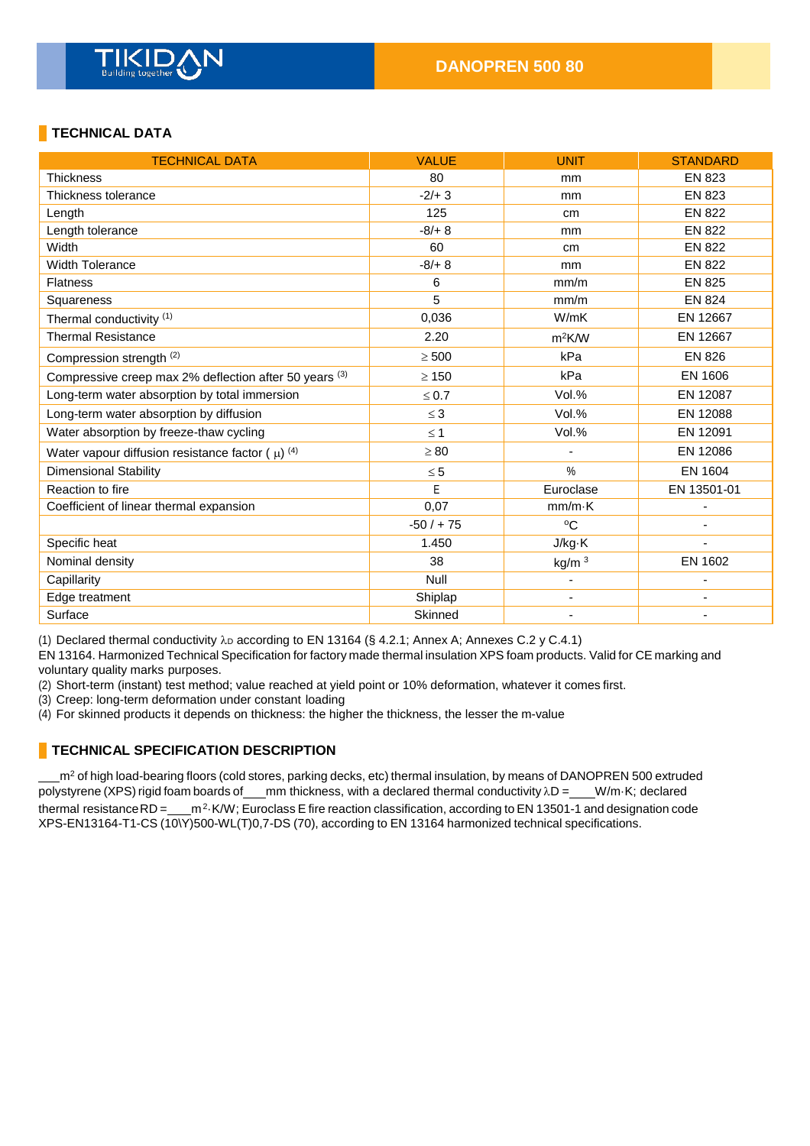# **TECHNICAL DATA**

| <b>TECHNICAL DATA</b>                                  | <b>VALUE</b> | <b>UNIT</b>              | <b>STANDARD</b> |
|--------------------------------------------------------|--------------|--------------------------|-----------------|
| <b>Thickness</b>                                       | 80           | mm                       | <b>EN 823</b>   |
| Thickness tolerance                                    | $-2/+3$      | mm                       | <b>EN 823</b>   |
| Length                                                 | 125          | cm                       | <b>EN 822</b>   |
| Length tolerance                                       | $-8/+8$      | mm                       | <b>EN 822</b>   |
| Width                                                  | 60           | cm                       | <b>EN 822</b>   |
| <b>Width Tolerance</b>                                 | $-8/+8$      | mm                       | <b>EN 822</b>   |
| <b>Flatness</b>                                        | 6            | mm/m                     | <b>EN 825</b>   |
| Squareness                                             | 5            | mm/m                     | <b>EN 824</b>   |
| Thermal conductivity (1)                               | 0,036        | W/mK                     | EN 12667        |
| <b>Thermal Resistance</b>                              | 2.20         | $m^2$ K/W                | EN 12667        |
| Compression strength (2)                               | $\geq 500$   | kPa                      | <b>EN 826</b>   |
| Compressive creep max 2% deflection after 50 years (3) | $\geq 150$   | kPa                      | <b>EN 1606</b>  |
| Long-term water absorption by total immersion          | $\leq 0.7$   | Vol.%                    | EN 12087        |
| Long-term water absorption by diffusion                | $\leq$ 3     | Vol.%                    | EN 12088        |
| Water absorption by freeze-thaw cycling                | $\leq 1$     | Vol.%                    | EN 12091        |
| Water vapour diffusion resistance factor ( $\mu$ ) (4) | $\geq 80$    | ä,                       | EN 12086        |
| <b>Dimensional Stability</b>                           | $\leq 5$     | %                        | EN 1604         |
| Reaction to fire                                       | E            | Euroclase                | EN 13501-01     |
| Coefficient of linear thermal expansion                | 0,07         | $mm/m-K$                 |                 |
|                                                        | $-50/ + 75$  | $^{\circ}C$              |                 |
| Specific heat                                          | 1.450        | J/kg·K                   |                 |
| Nominal density                                        | 38           | kg/m <sup>3</sup>        | EN 1602         |
| Capillarity                                            | Null         | $\blacksquare$           |                 |
| Edge treatment                                         | Shiplap      | $\overline{\phantom{a}}$ |                 |
| Surface                                                | Skinned      |                          |                 |

(1) Declared thermal conductivity  $\lambda_D$  according to EN 13164 (§ 4.2.1; Annex A; Annexes C.2 y C.4.1)

EN 13164. Harmonized Technical Specification for factory made thermal insulation XPS foam products. Valid for CE marking and voluntary quality marks purposes.

(2) Short-term (instant) test method; value reached at yield point or 10% deformation, whatever it comes first.

(3) Creep: long-term deformation under constant loading

(4) For skinned products it depends on thickness: the higher the thickness, the lesser the m-value

### **TECHNICAL SPECIFICATION DESCRIPTION**

m<sup>2</sup> of high load-bearing floors (cold stores, parking decks, etc) thermal insulation, by means of DANOPREN 500 extruded polystyrene (XPS) rigid foam boards of \_\_\_mm thickness, with a declared thermal conductivity  $\lambda D =$  \_\_\_W/m·K; declared thermal resistance RD = \_\_\_\_m<sup>2</sup> K/W; Euroclass E fire reaction classification, according to EN 13501-1 and designation code XPS-EN13164-T1-CS (10\Y)500-WL(T)0,7-DS (70), according to EN 13164 harmonized technical specifications.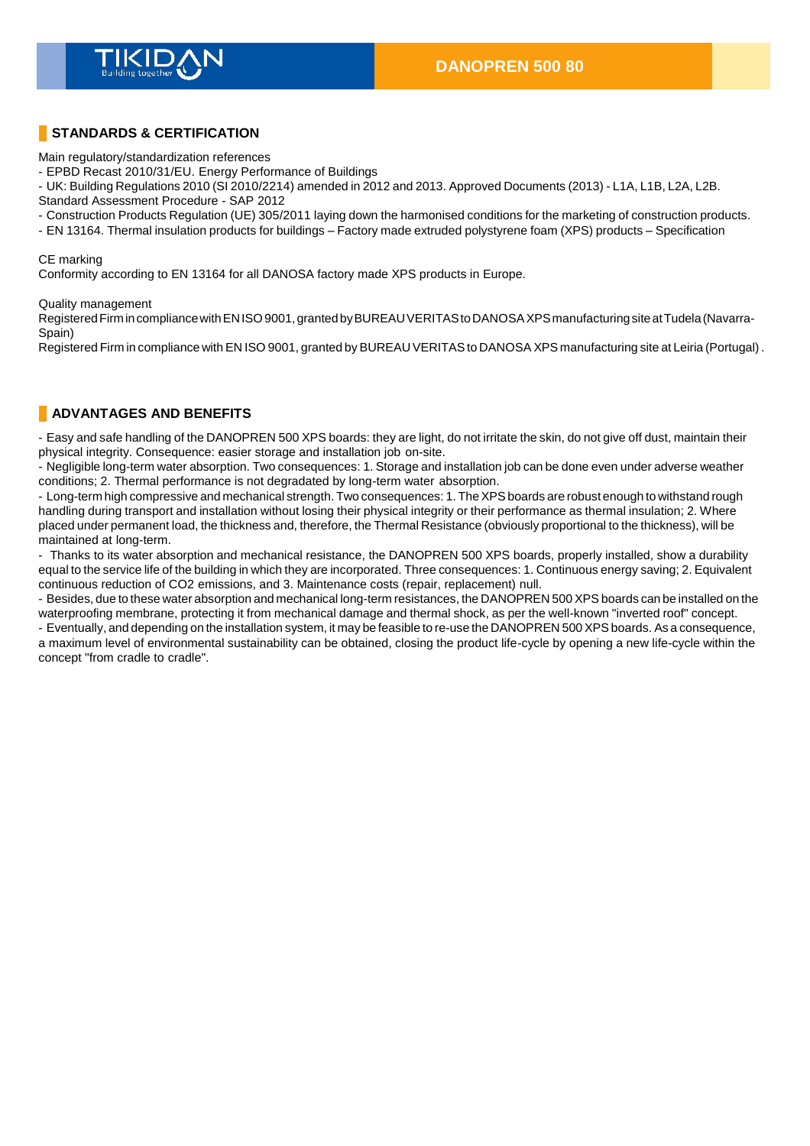### **STANDARDS & CERTIFICATION**

Main regulatory/standardization references

- EPBD Recast 2010/31/EU. Energy Performance of Buildings

- UK: Building Regulations 2010 (SI 2010/2214) amended in 2012 and 2013. Approved Documents (2013) - L1A, L1B, L2A, L2B.

Standard Assessment Procedure - SAP 2012

- Construction Products Regulation (UE) 305/2011 laying down the harmonised conditions for the marketing of construction products.
- EN 13164. Thermal insulation products for buildings Factory made extruded polystyrene foam (XPS) products Specification

#### CE marking

Conformity according to EN 13164 for all DANOSA factory made XPS products in Europe.

#### Quality management

Registered Firm in compliance with EN ISO 9001, granted by BUREAU VERITAS to DANOSA XPS manufacturing site at Tudela (Navarra-Spain)

Registered Firm in compliance with EN ISO 9001, granted by BUREAU VERITAS to DANOSA XPS manufacturing site at Leiria (Portugal).

### **ADVANTAGES AND BENEFITS**

- Easy and safe handling of the DANOPREN 500 XPS boards: they are light, do not irritate the skin, do not give off dust, maintain their physical integrity. Consequence: easier storage and installation job on-site.

- Negligible long-term water absorption. Two consequences: 1. Storage and installation job can be done even under adverse weather conditions; 2. Thermal performance is not degradated by long-term water absorption.

- Long-term high compressive and mechanical strength. Two consequences: 1. The XPS boards are robust enough to withstand rough handling during transport and installation without losing their physical integrity or their performance as thermal insulation; 2. Where placed under permanent load, the thickness and, therefore, the Thermal Resistance (obviously proportional to the thickness), will be maintained at long-term.

- Thanks to its water absorption and mechanical resistance, the DANOPREN 500 XPS boards, properly installed, show a durability equal to the service life of the building in which they are incorporated. Three consequences: 1. Continuous energy saving; 2. Equivalent continuous reduction of CO2 emissions, and 3. Maintenance costs (repair, replacement) null.

- Besides, due to these water absorption and mechanical long-term resistances, the DANOPREN 500 XPS boards can be installed on the waterproofing membrane, protecting it from mechanical damage and thermal shock, as per the well-known "inverted roof" concept.

- Eventually, and depending on the installation system, it may be feasible to re-use the DANOPREN 500 XPS boards. As a consequence, a maximum level of environmental sustainability can be obtained, closing the product life-cycle by opening a new life-cycle within the concept "from cradle to cradle".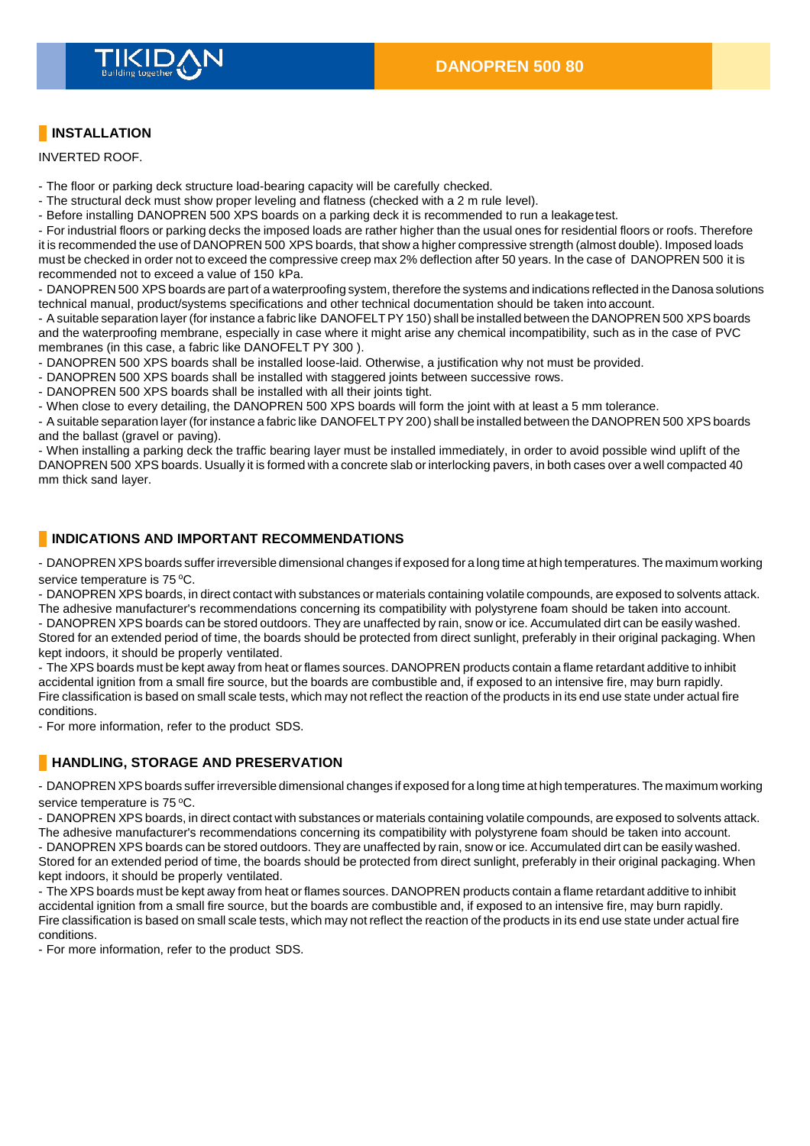

# **INSTALLATION**

INVERTED ROOF.

- The floor or parking deck structure load-bearing capacity will be carefully checked.
- The structural deck must show proper leveling and flatness (checked with a 2 m rule level).
- Before installing DANOPREN 500 XPS boards on a parking deck it is recommended to run a leakagetest.

- For industrial floors or parking decks the imposed loads are rather higher than the usual ones for residential floors or roofs. Therefore it is recommended the use of DANOPREN 500 XPS boards, that show a higher compressive strength (almost double). Imposed loads must be checked in order not to exceed the compressive creep max 2% deflection after 50 years. In the case of DANOPREN 500 it is recommended not to exceed a value of 150 kPa.

- DANOPREN 500 XPS boards are part of a waterproofing system, therefore the systems and indications reflected in the Danosa solutions technical manual, product/systems specifications and other technical documentation should be taken into account.

- A suitable separation layer (for instance a fabric like DANOFELTPY150) shall be installed between the DANOPREN 500 XPS boards and the waterproofing membrane, especially in case where it might arise any chemical incompatibility, such as in the case of PVC membranes (in this case, a fabric like DANOFELT PY 300 ).

- DANOPREN 500 XPS boards shall be installed loose-laid. Otherwise, a justification why not must be provided.
- DANOPREN 500 XPS boards shall be installed with staggered joints between successive rows.

- DANOPREN 500 XPS boards shall be installed with all their joints tight.

- When close to every detailing, the DANOPREN 500 XPS boards will form the joint with at least a 5 mm tolerance.

- A suitable separation layer (for instance a fabric like DANOFELTPY200) shall be installed between the DANOPREN 500 XPS boards and the ballast (gravel or paving).

- When installing a parking deck the traffic bearing layer must be installed immediately, in order to avoid possible wind uplift of the DANOPREN 500 XPS boards. Usually it is formed with a concrete slab or interlocking pavers, in both cases over a well compacted 40 mm thick sand layer.

### **INDICATIONS AND IMPORTANT RECOMMENDATIONS**

- DANOPREN XPSboards suffer irreversible dimensional changes if exposed for a long time at high temperatures. The maximum working service temperature is 75 °C.

- DANOPREN XPS boards, in direct contact with substances or materials containing volatile compounds, are exposed to solvents attack. The adhesive manufacturer's recommendations concerning its compatibility with polystyrene foam should be taken into account.

- DANOPREN XPS boards can be stored outdoors. They are unaffected by rain, snow or ice. Accumulated dirt can be easily washed. Stored for an extended period of time, the boards should be protected from direct sunlight, preferably in their original packaging. When kept indoors, it should be properly ventilated.

- The XPS boards must be kept away from heat or flames sources. DANOPREN products contain a flame retardant additive to inhibit accidental ignition from a small fire source, but the boards are combustible and, if exposed to an intensive fire, may burn rapidly. Fire classification is based on small scale tests, which may not reflect the reaction of the products in its end use state under actual fire conditions.

- For more information, refer to the product SDS.

### **HANDLING, STORAGE AND PRESERVATION**

- DANOPREN XPSboards suffer irreversible dimensional changes if exposed for a long time at high temperatures. The maximum working service temperature is 75 °C.

- DANOPREN XPS boards, in direct contact with substances or materials containing volatile compounds, are exposed to solvents attack. The adhesive manufacturer's recommendations concerning its compatibility with polystyrene foam should be taken into account.

- DANOPREN XPS boards can be stored outdoors. They are unaffected by rain, snow or ice. Accumulated dirt can be easily washed. Stored for an extended period of time, the boards should be protected from direct sunlight, preferably in their original packaging. When kept indoors, it should be properly ventilated.

- The XPS boards must be kept away from heat or flames sources. DANOPREN products contain a flame retardant additive to inhibit accidental ignition from a small fire source, but the boards are combustible and, if exposed to an intensive fire, may burn rapidly. Fire classification is based on small scale tests, which may not reflect the reaction of the products in its end use state under actual fire conditions.

- For more information, refer to the product SDS.